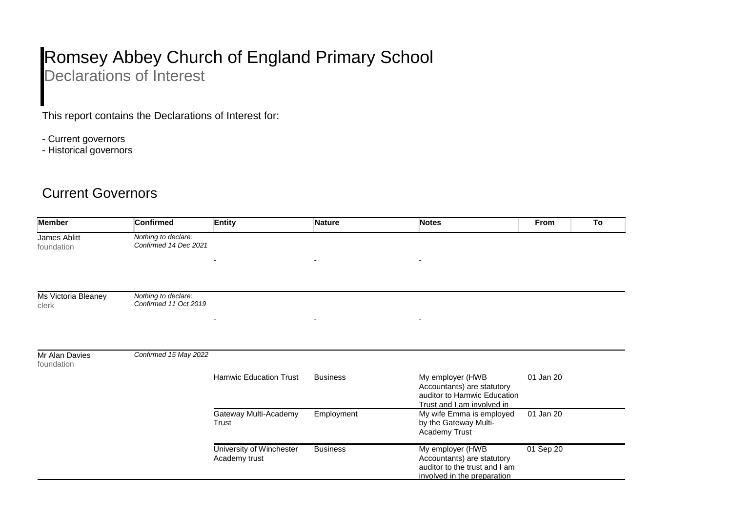## Romsey Abbey Church of England Primary School

Declarations of Interest

This report contains the Declarations of Interest for:

- Current governors
- Historical governors

## Current Governors

| <b>Member</b>                | <b>Confirmed</b>                             | Entity                                    | <b>Nature</b>            | <b>Notes</b>                                                                                                   | <b>From</b> | To |
|------------------------------|----------------------------------------------|-------------------------------------------|--------------------------|----------------------------------------------------------------------------------------------------------------|-------------|----|
| James Ablitt<br>foundation   | Nothing to declare:<br>Confirmed 14 Dec 2021 |                                           |                          |                                                                                                                |             |    |
|                              |                                              |                                           |                          |                                                                                                                |             |    |
| Ms Victoria Bleaney<br>clerk | Nothing to declare:<br>Confirmed 11 Oct 2019 |                                           |                          |                                                                                                                |             |    |
|                              |                                              | ٠                                         | $\overline{\phantom{a}}$ | $\overline{\phantom{a}}$                                                                                       |             |    |
| Mr Alan Davies<br>foundation | Confirmed 15 May 2022                        |                                           |                          |                                                                                                                |             |    |
|                              |                                              | <b>Hamwic Education Trust</b>             | <b>Business</b>          | My employer (HWB<br>Accountants) are statutory<br>auditor to Hamwic Education<br>Trust and I am involved in    | 01 Jan 20   |    |
|                              |                                              | Gateway Multi-Academy<br>Trust            | Employment               | My wife Emma is employed<br>by the Gateway Multi-<br>Academy Trust                                             | 01 Jan 20   |    |
|                              |                                              | University of Winchester<br>Academy trust | <b>Business</b>          | My employer (HWB<br>Accountants) are statutory<br>auditor to the trust and I am<br>involved in the preparation | 01 Sep 20   |    |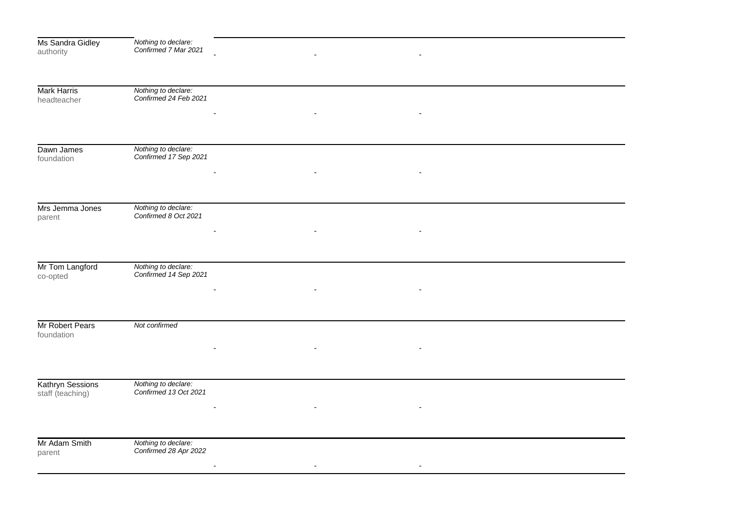| Ms Sandra Gidley   |                                             |  |  |  |
|--------------------|---------------------------------------------|--|--|--|
| authority          | Nothing to declare:<br>Confirmed 7 Mar 2021 |  |  |  |
|                    |                                             |  |  |  |
|                    |                                             |  |  |  |
|                    |                                             |  |  |  |
| <b>Mark Harris</b> | Nothing to declare:                         |  |  |  |
| headteacher        | Confirmed 24 Feb 2021                       |  |  |  |
|                    |                                             |  |  |  |
|                    |                                             |  |  |  |
|                    |                                             |  |  |  |
|                    |                                             |  |  |  |
| Dawn James         | Nothing to declare:                         |  |  |  |
| foundation         | Confirmed 17 Sep 2021                       |  |  |  |
|                    |                                             |  |  |  |
|                    |                                             |  |  |  |
|                    |                                             |  |  |  |
|                    |                                             |  |  |  |
| Mrs Jemma Jones    | Nothing to declare:                         |  |  |  |
| parent             | Confirmed 8 Oct 2021                        |  |  |  |
|                    |                                             |  |  |  |
|                    |                                             |  |  |  |
|                    |                                             |  |  |  |
|                    |                                             |  |  |  |
| Mr Tom Langford    | Nothing to declare:                         |  |  |  |
| co-opted           | Confirmed 14 Sep 2021                       |  |  |  |
|                    |                                             |  |  |  |
|                    |                                             |  |  |  |
|                    |                                             |  |  |  |
|                    |                                             |  |  |  |
| Mr Robert Pears    | Not confirmed                               |  |  |  |
| foundation         |                                             |  |  |  |
|                    |                                             |  |  |  |
|                    |                                             |  |  |  |
|                    |                                             |  |  |  |
|                    |                                             |  |  |  |
| Kathryn Sessions   | Nothing to declare:                         |  |  |  |
| staff (teaching)   | Confirmed 13 Oct 2021                       |  |  |  |
|                    |                                             |  |  |  |
|                    |                                             |  |  |  |
|                    |                                             |  |  |  |
|                    |                                             |  |  |  |
| Mr Adam Smith      | Nothing to declare:                         |  |  |  |
| parent             | Confirmed 28 Apr 2022                       |  |  |  |
|                    |                                             |  |  |  |
|                    |                                             |  |  |  |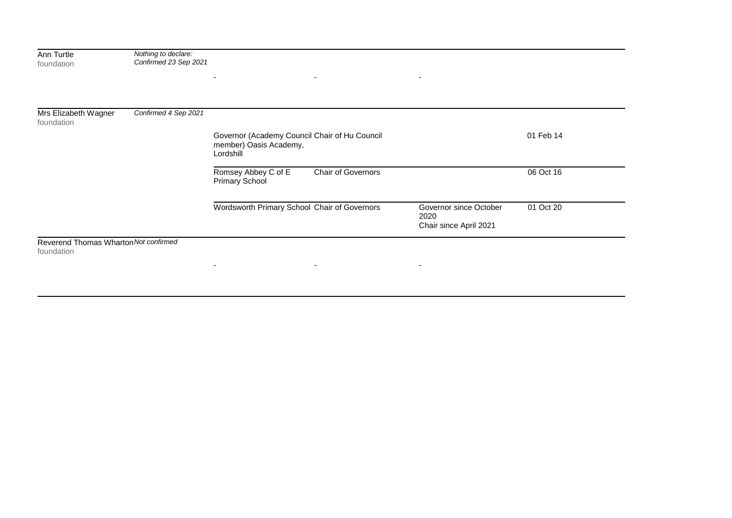| Ann Turtle<br>foundation                            | Nothing to declare:<br>Confirmed 23 Sep 2021 | ٠<br>$\overline{\phantom{a}}$                                                        | $\overline{\phantom{a}}$                                 |           |  |
|-----------------------------------------------------|----------------------------------------------|--------------------------------------------------------------------------------------|----------------------------------------------------------|-----------|--|
|                                                     |                                              |                                                                                      |                                                          |           |  |
| Mrs Elizabeth Wagner<br>foundation                  | Confirmed 4 Sep 2021                         |                                                                                      |                                                          |           |  |
|                                                     |                                              | Governor (Academy Council Chair of Hu Council<br>member) Oasis Academy,<br>Lordshill |                                                          | 01 Feb 14 |  |
|                                                     |                                              | Romsey Abbey C of E<br>Chair of Governors<br><b>Primary School</b>                   |                                                          | 06 Oct 16 |  |
|                                                     |                                              | Wordsworth Primary School Chair of Governors                                         | Governor since October<br>2020<br>Chair since April 2021 | 01 Oct 20 |  |
| Reverend Thomas Wharton Not confirmed<br>foundation |                                              |                                                                                      |                                                          |           |  |

- - -